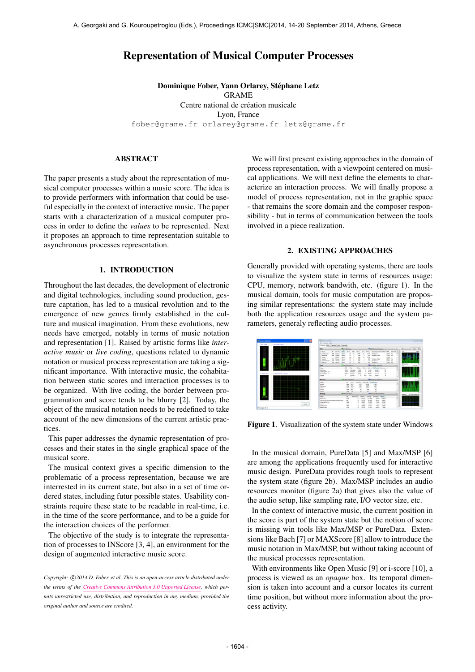# Representation of Musical Computer Processes

Dominique Fober, Yann Orlarey, Stéphane Letz GRAME Centre national de création musicale Lyon, France [fober@grame.fr](mailto:fober@grame.fr) [orlarey@grame.fr](mailto:orlarey@grame.fr) [letz@grame.fr](mailto:letz@grame.fr)

## ABSTRACT

The paper presents a study about the representation of musical computer processes within a music score. The idea is to provide performers with information that could be useful especially in the context of interactive music. The paper starts with a characterization of a musical computer process in order to define the *values* to be represented. Next it proposes an approach to time representation suitable to asynchronous processes representation.

# 1. INTRODUCTION

Throughout the last decades, the development of electronic and digital technologies, including sound production, gesture captation, has led to a musical revolution and to the emergence of new genres firmly established in the culture and musical imagination. From these evolutions, new needs have emerged, notably in terms of music notation and representation [1]. Raised by artistic forms like *interactive music* or *live coding*, questions related to dynamic notation or musical process representation are taking a significant importance. With interactive music, the cohabitation between static scores and interaction processes is to be organized. With live coding, the border between programmation and score tends to be blurry [2]. Today, the object of the musical notation needs to be redefined to take account of the new dimensions of the current artistic practices.

This paper addresses the dynamic representation of processes and their states in the single graphical space of the musical score.

The musical context gives a specific dimension to the problematic of a process representation, because we are interrested in its current state, but also in a set of time ordered states, including futur possible states. Usability constraints require these state to be readable in real-time, i.e. in the time of the score performance, and to be a guide for the interaction choices of the performer.

The objective of the study is to integrate the representation of processes to INScore [3, 4], an environment for the design of augmented interactive music score.

Copyright:  $\bigcirc$ 2014 D. Fober et al. This is an open-access article distributed under *the terms of the [Creative Commons Attribution 3.0 Unported License,](http://creativecommons.org/licenses/by/3.0/) which permits unrestricted use, distribution, and reproduction in any medium, provided the original author and source are credited.*

We will first present existing approaches in the domain of process representation, with a viewpoint centered on musical applications. We will next define the elements to characterize an interaction process. We will finally propose a model of process representation, not in the graphic space - that remains the score domain and the composer responsibility - but in terms of communication between the tools involved in a piece realization.

## 2. EXISTING APPROACHES

Generally provided with operating systems, there are tools to visualize the system state in terms of resources usage: CPU, memory, network bandwith, etc. (figure 1). In the musical domain, tools for music computation are proposing similar representations: the system state may include both the application resources usage and the system parameters, generaly reflecting audio processes.



Figure 1. Visualization of the system state under Windows

In the musical domain, PureData [5] and Max/MSP [6] are among the applications frequently used for interactive music design. PureData provides rough tools to represent the system state (figure 2b). Max/MSP includes an audio resources monitor (figure 2a) that gives also the value of the audio setup, like sampling rate, I/O vector size, etc.

In the context of interactive music, the current position in the score is part of the system state but the notion of score is missing win tools like Max/MSP or PureData. Extensions like Bach [7] or MAXScore [8] allow to introduce the music notation in Max/MSP, but without taking account of the musical processes representation.

With environments like Open Music [9] or i-score [10], a process is viewed as an *opaque* box. Its temporal dimension is taken into account and a cursor locates its current time position, but without more information about the process activity.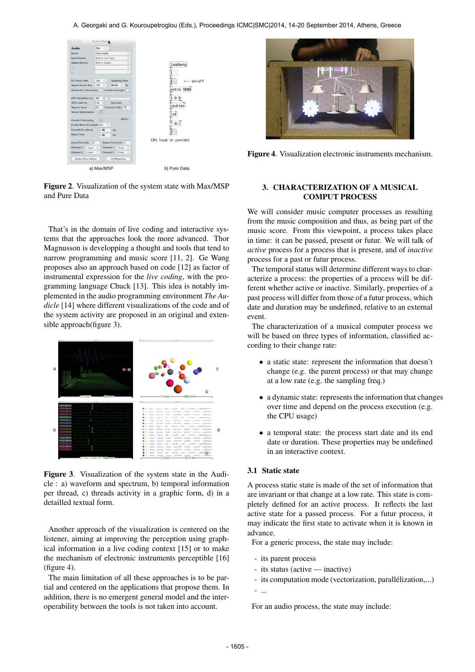

Figure 2. Visualization of the system state with Max/MSP and Pure Data

That's in the domain of live coding and interactive systems that the approaches look the more advanced. Thor Magnusson is developping a thought and tools that tend to narrow programming and music score [11, 2]. Ge Wang proposes also an approach based on code [12] as factor of instrumental expression for the *live coding*, with the programming language Chuck [13]. This idea is notably implemented in the audio programming environment *The Audicle* [14] where different visualizations of the code and of the system activity are proposed in an original and extensible approach(figure 3).



Figure 3. Visualization of the system state in the Audicle : a) waveform and spectrum, b) temporal information per thread, c) threads activity in a graphic form, d) in a detailled textual form.

Another approach of the visualization is centered on the listener, aiming at improving the perception using graphical information in a live coding context [15] or to make the mechanism of electronic instruments perceptible [16] (figure 4).

The main limitation of all these approaches is to be partial and centered on the applications that propose them. In addition, there is no emergent general model and the interoperability between the tools is not taken into account.



Figure 4. Visualization electronic instruments mechanism.

# 3. CHARACTERIZATION OF A MUSICAL COMPUT PROCESS

We will consider music computer processes as resulting from the music composition and thus, as being part of the music score. From this viewpoint, a process takes place in time: it can be passed, present or futur. We will talk of *active* process for a process that is present, and of *inactive* process for a past or futur process.

The temporal status will determine different ways to characterize a process: the properties of a process will be different whether active or inactive. Similarly, properties of a past process will differ from those of a futur process, which date and duration may be undefined, relative to an external event.

The characterization of a musical computer process we will be based on three types of information, classified according to their change rate:

- a static state: represent the information that doesn't change (e.g. the parent process) or that may change at a low rate (e.g. the sampling freq.)
- a dynamic state: represents the information that changes over time and depend on the process execution (e.g. the CPU usage)
- a temporal state: the process start date and its end date or duration. These properties may be undefined in an interactive context.

# 3.1 Static state

A process static state is made of the set of information that are invariant or that change at a low rate. This state is completely defined for an active process. It reflects the last active state for a passed process. For a futur process, it may indicate the first state to activate when it is known in advance.

For a generic process, the state may include:

- its parent process
- its status (active inactive)
- its computation mode (vectorization, parallélization,...)
- ...

For an audio process, the state may include: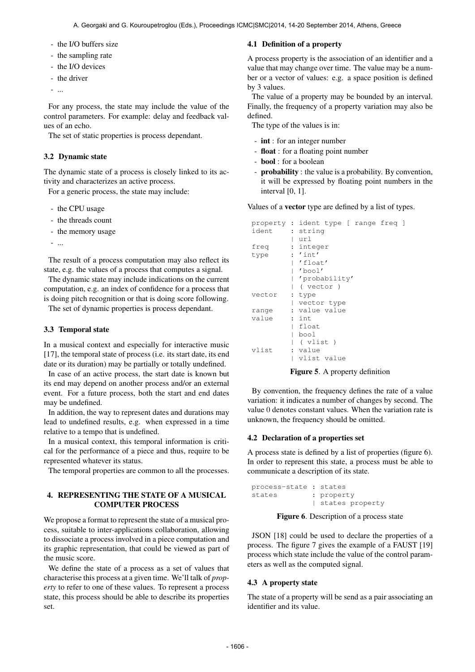- the I/O buffers size
- the sampling rate
- the I/O devices
- the driver
- ...

For any process, the state may include the value of the control parameters. For example: delay and feedback values of an echo.

The set of static properties is process dependant.

### 3.2 Dynamic state

The dynamic state of a process is closely linked to its activity and characterizes an active process.

For a generic process, the state may include:

- the CPU usage
- the threads count
- the memory usage
- ...

The result of a process computation may also reflect its state, e.g. the values of a process that computes a signal.

The dynamic state may include indications on the current computation, e.g. an index of confidence for a process that is doing pitch recognition or that is doing score following.

The set of dynamic properties is process dependant.

# 3.3 Temporal state

In a musical context and especially for interactive music [17], the temporal state of process (i.e. its start date, its end date or its duration) may be partially or totally undefined.

In case of an active process, the start date is known but its end may depend on another process and/or an external event. For a future process, both the start and end dates may be undefined.

In addition, the way to represent dates and durations may lead to undefined results, e.g. when expressed in a time relative to a tempo that is undefined.

In a musical context, this temporal information is critical for the performance of a piece and thus, require to be represented whatever its status.

The temporal properties are common to all the processes.

# 4. REPRESENTING THE STATE OF A MUSICAL COMPUTER PROCESS

We propose a format to represent the state of a musical process, suitable to inter-applications collaboration, allowing to dissociate a process involved in a piece computation and its graphic representation, that could be viewed as part of the music score.

We define the state of a process as a set of values that characterise this process at a given time. We'll talk of *property* to refer to one of these values. To represent a process state, this process should be able to describe its properties set.

## 4.1 Definition of a property

A process property is the association of an identifier and a value that may change over time. The value may be a number or a vector of values: e.g. a space position is defined by 3 values.

The value of a property may be bounded by an interval. Finally, the frequency of a property variation may also be defined.

The type of the values is in:

- int : for an integer number
- float : for a floating point number
- bool : for a boolean
- probability : the value is a probability. By convention, it will be expressed by floating point numbers in the interval [0, 1].

Values of a vector type are defined by a list of types.

|        | property : ident type [ range freq ] |
|--------|--------------------------------------|
| ident  | : string                             |
|        | url                                  |
| freq   | : integer                            |
| type   | : 'int'                              |
|        | 'float'                              |
|        | 'bool'                               |
|        | 'probability'                        |
|        | ( vector )                           |
| vector | : type                               |
|        | vector type                          |
| range  | : value value                        |
| value  | : int                                |
|        | float                                |
|        | bool                                 |
|        | ( vlist )                            |
| vlist  | : value                              |
|        | vlist value                          |

Figure 5. A property definition

By convention, the frequency defines the rate of a value variation: it indicates a number of changes by second. The value 0 denotes constant values. When the variation rate is unknown, the frequency should be omitted.

#### 4.2 Declaration of a properties set

A process state is defined by a list of properties (figure 6). In order to represent this state, a process must be able to communicate a description of its state.

```
process-state : states
states : property
             | states property
```
Figure 6. Description of a process state

JSON [18] could be used to declare the properties of a process. The figure 7 gives the example of a FAUST [19] process which state include the value of the control parameters as well as the computed signal.

#### 4.3 A property state

The state of a property will be send as a pair associating an identifier and its value.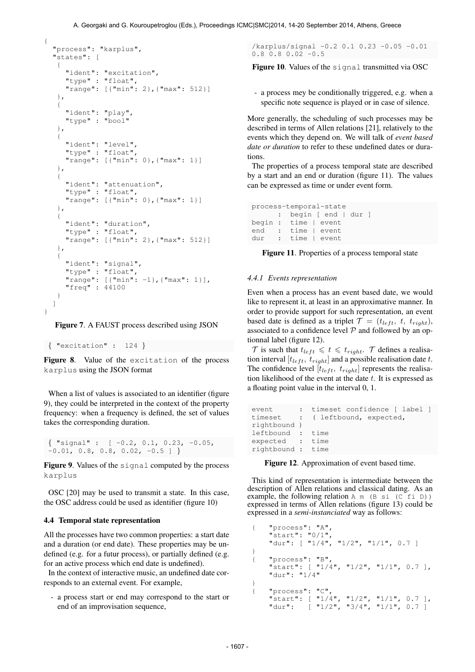```
"process": "karplus",
"states": [
 {
   "ident": "excitation",
   "type" : "float",
   "range": [{"min": 2},{"max": 512}]
 },
 {
   "ident": "play",
   "type" : "bool"
 },
 {
   "ident": "level",
   "type" : "float",
   "range": [{"min": 0},{"max": 1}]
 },
 {
   "ident": "attenuation",
   "type" : "float",
   "range": [{"min": 0},{"max": 1}]
 },
 {
   "ident": "duration",
   "type" : "float",
   "range": [{"min": 2},{"max": 512}]
 },
 {
   "ident": "signal",
   "type" : "float",
   "range": [{"min": -1},{"max": 1}],
   "freq" : 44100
 }
]
```
Figure 7. A FAUST process described using JSON

```
{ "excitation" : 124 }
```
{

}

Figure 8. Value of the excitation of the process karplus using the JSON format

When a list of values is associated to an identifier (figure 9), they could be interpreted in the context of the property frequency: when a frequency is defined, the set of values takes the corresponding duration.

 $\{$  "signal" :  $[-0.2, 0.1, 0.23, -0.05,$  $-0.01$ , 0.8, 0.8, 0.02,  $-0.5$  ] }

Figure 9. Values of the signal computed by the process karplus

OSC [20] may be used to transmit a state. In this case, the OSC address could be used as identifier (figure 10)

## 4.4 Temporal state representation

All the processes have two common properties: a start date and a duration (or end date). These properties may be undefined (e.g. for a futur process), or partially defined (e.g. for an active process which end date is undefined).

In the context of interactive music, an undefined date corresponds to an external event. For example,

- a process start or end may correspond to the start or end of an improvisation sequence,

/karplus/signal -0.2 0.1 0.23 -0.05 -0.01  $0.8$  0.8 0.02  $-0.5$ 

Figure 10. Values of the signal transmitted via OSC

- a process mey be conditionally triggered, e.g. when a specific note sequence is played or in case of silence.

More generally, the scheduling of such processes may be described in terms of Allen relations [21], relatively to the events which they depend on. We will talk of *event based date or duration* to refer to these undefined dates or durations.

The properties of a process temporal state are described by a start and an end or duration (figure 11). The values can be expressed as time or under event form.

```
process-temporal-state
     : begin [ end | dur ]
begin : time | event
end : time I event
dur : time | event
```
Figure 11. Properties of a process temporal state

### *4.4.1 Events representation*

Even when a process has an event based date, we would like to represent it, at least in an approximative manner. In order to provide support for such representation, an event based date is defined as a triplet  $\mathcal{T} = (t_{left}, t, t_{right}),$ associated to a confidence level  $P$  and followed by an optionnal label (figure 12).

 $\mathcal T$  is such that  $t_{left} \leq t \leq t_{right}$ .  $\mathcal T$  defines a realisation interval [ $t_{left}$ ,  $t_{right}$ ] and a possible realisation date t. The confidence level  $[t_{left}, t_{right}]$  represents the realisation likelihood of the event at the date  $t$ . It is expressed as a floating point value in the interval 0, 1.

```
event : timeset confidence [ label ]
timeset : ( leftbound, expected,
rightbound )
leftbound : time
expected : time
rightbound : time
```
Figure 12. Approximation of event based time.

This kind of representation is intermediate between the description of Allen relations and classical dating. As an example, the following relation  $A \cap (B \mid S)$  (C fi D)) expressed in terms of Allen relations (figure 13) could be expressed in a *semi-instanciated* way as follows:

```
{ "process": "A",
    "start": "0/1",
    "dur": [ "1/4", "1/2", "1/1", 0.7 ]
}
{ "process": "B",
    "start": [ "1/4", "1/2", "1/1", 0.7 ],
    "dur": "1/4"
}
{ "process": "C",
    "start": [ "1/4", "1/2", "1/1", 0.7 ],
    "dur": [ "1/2", "3/4", "1/1", 0.7 ]
```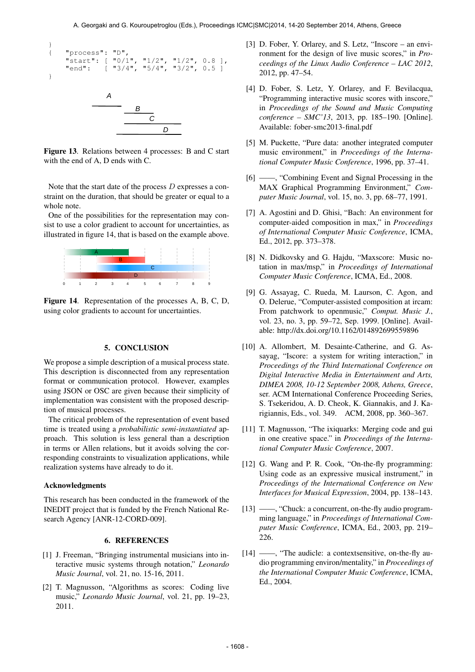

Figure 13. Relations between 4 processes: B and C start with the end of A, D ends with C.

Note that the start date of the process D expresses a constraint on the duration, that should be greater or equal to a whole note.

One of the possibilities for the representation may consist to use a color gradient to account for uncertainties, as illustrated in figure 14, that is based on the example above.



Figure 14. Representation of the processes A, B, C, D, using color gradients to account for uncertainties.

## 5. CONCLUSION

We propose a simple description of a musical process state. This description is disconnected from any representation format or communication protocol. However, examples using JSON or OSC are given because their simplicity of implementation was consistent with the proposed description of musical processes.

The critical problem of the representation of event based time is treated using a *probabilistic semi-instantiated* approach. This solution is less general than a description in terms or Allen relations, but it avoids solving the corresponding constraints to visualization applications, while realization systems have already to do it.

#### Acknowledgments

This research has been conducted in the framework of the INEDIT project that is funded by the French National Research Agency [ANR-12-CORD-009].

#### 6. REFERENCES

- [1] J. Freeman, "Bringing instrumental musicians into interactive music systems through notation," *Leonardo Music Journal*, vol. 21, no. 15-16, 2011.
- [2] T. Magnusson, "Algorithms as scores: Coding live music," *Leonardo Music Journal*, vol. 21, pp. 19–23, 2011.
- [3] D. Fober, Y. Orlarey, and S. Letz, "Inscore an environment for the design of live music scores," in *Proceedings of the Linux Audio Conference – LAC 2012*, 2012, pp. 47–54.
- [4] D. Fober, S. Letz, Y. Orlarey, and F. Bevilacqua, "Programming interactive music scores with inscore," in *Proceedings of the Sound and Music Computing conference – SMC'13*, 2013, pp. 185–190. [Online]. Available:<fober-smc2013-final.pdf>
- [5] M. Puckette, "Pure data: another integrated computer music environment," in *Proceedings of the International Computer Music Conference*, 1996, pp. 37–41.
- [6] ——, "Combining Event and Signal Processing in the MAX Graphical Programming Environment," *Computer Music Journal*, vol. 15, no. 3, pp. 68–77, 1991.
- [7] A. Agostini and D. Ghisi, "Bach: An environment for computer-aided composition in max," in *Proceedings of International Computer Music Conference*, ICMA, Ed., 2012, pp. 373–378.
- [8] N. Didkovsky and G. Hajdu, "Maxscore: Music notation in max/msp," in *Proceedings of International Computer Music Conference*, ICMA, Ed., 2008.
- [9] G. Assayag, C. Rueda, M. Laurson, C. Agon, and O. Delerue, "Computer-assisted composition at ircam: From patchwork to openmusic," *Comput. Music J.*, vol. 23, no. 3, pp. 59–72, Sep. 1999. [Online]. Available:<http://dx.doi.org/10.1162/014892699559896>
- [10] A. Allombert, M. Desainte-Catherine, and G. Assayag, "Iscore: a system for writing interaction," in *Proceedings of the Third International Conference on Digital Interactive Media in Entertainment and Arts, DIMEA 2008, 10-12 September 2008, Athens, Greece*, ser. ACM International Conference Proceeding Series, S. Tsekeridou, A. D. Cheok, K. Giannakis, and J. Karigiannis, Eds., vol. 349. ACM, 2008, pp. 360–367.
- [11] T. Magnusson, "The ixiquarks: Merging code and gui in one creative space." in *Proceedings of the International Computer Music Conference*, 2007.
- [12] G. Wang and P. R. Cook, "On-the-fly programming: Using code as an expressive musical instrument," in *Proceedings of the International Conference on New Interfaces for Musical Expression*, 2004, pp. 138–143.
- [13] ——, "Chuck: a concurrent, on-the-fly audio programming language," in *Proceedings of International Computer Music Conference*, ICMA, Ed., 2003, pp. 219– 226.
- [14] ——, "The audicle: a contextsensitive, on-the-fly audio programming environ/mentality," in *Proceedings of the International Computer Music Conference*, ICMA, Ed., 2004.